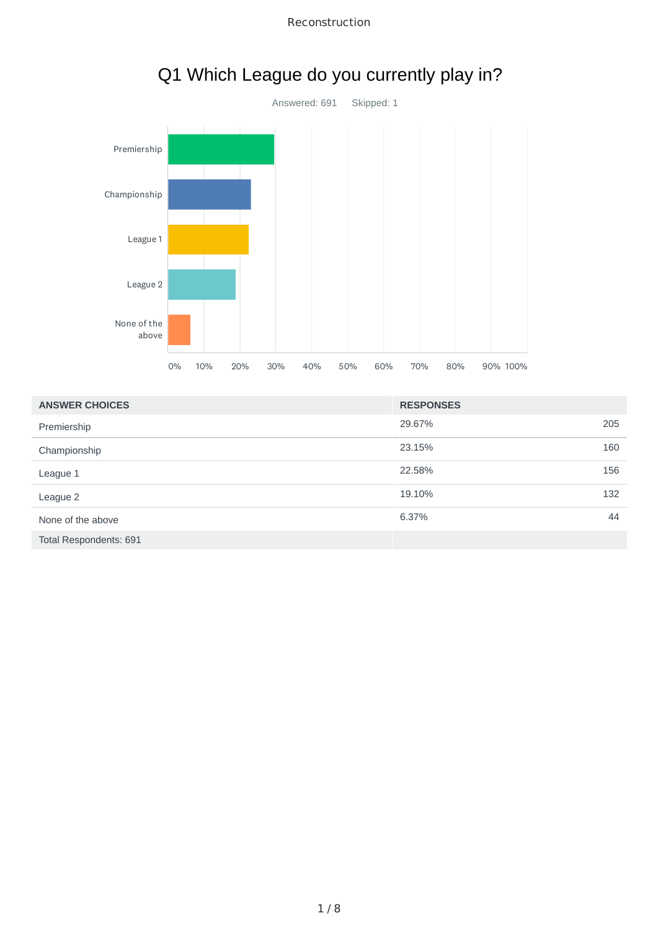



# Q1 Which League do you currently play in?

| <b>ANSWER CHOICES</b>  | <b>RESPONSES</b> |     |
|------------------------|------------------|-----|
| Premiership            | 29.67%           | 205 |
| Championship           | 23.15%           | 160 |
| League 1               | 22.58%           | 156 |
| League 2               | 19.10%           | 132 |
| None of the above      | 6.37%            | 44  |
| Total Respondents: 691 |                  |     |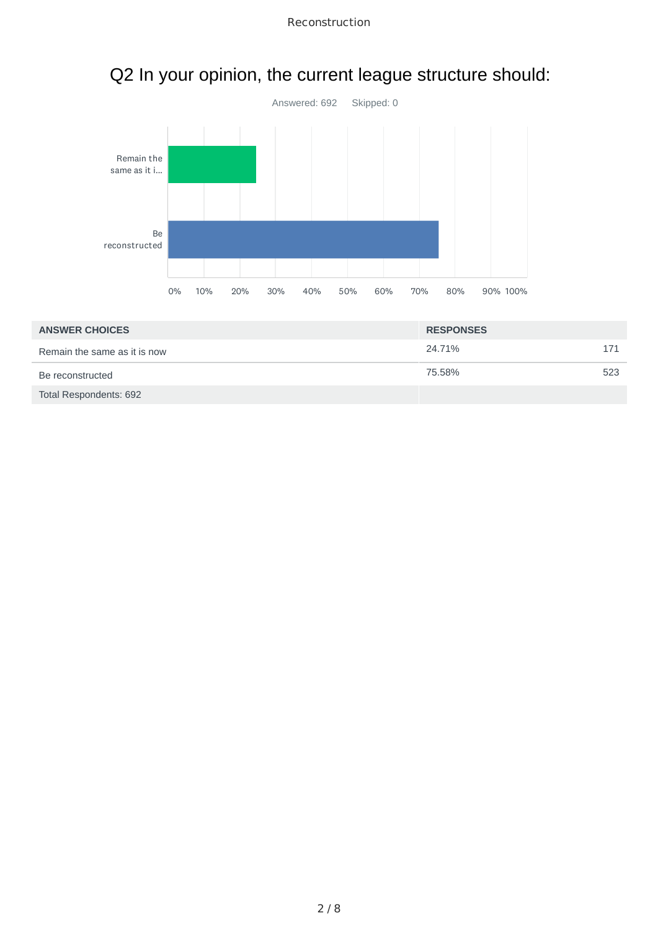

# Q2 In your opinion, the current league structure should:

| <b>ANSWER CHOICES</b>        | <b>RESPONSES</b> |     |
|------------------------------|------------------|-----|
| Remain the same as it is now | 24.71%           | 171 |
| Be reconstructed             | 75.58%           | 523 |
| Total Respondents: 692       |                  |     |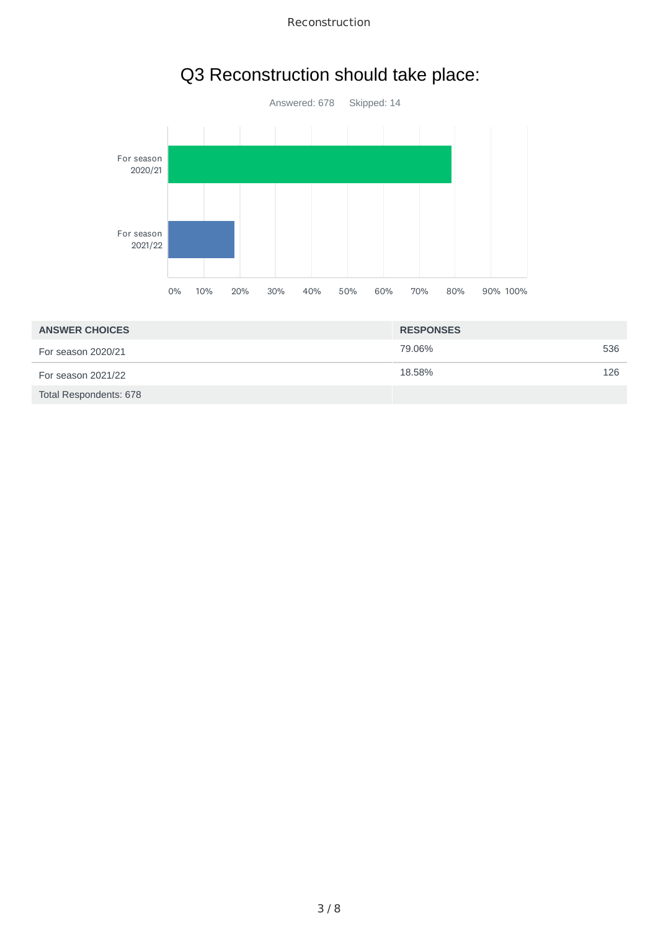

## Q3 Reconstruction should take place:

| <b>ANSWER CHOICES</b>  | <b>RESPONSES</b> |     |
|------------------------|------------------|-----|
| For season 2020/21     | 79.06%           | 536 |
| For season 2021/22     | 18.58%           | 126 |
| Total Respondents: 678 |                  |     |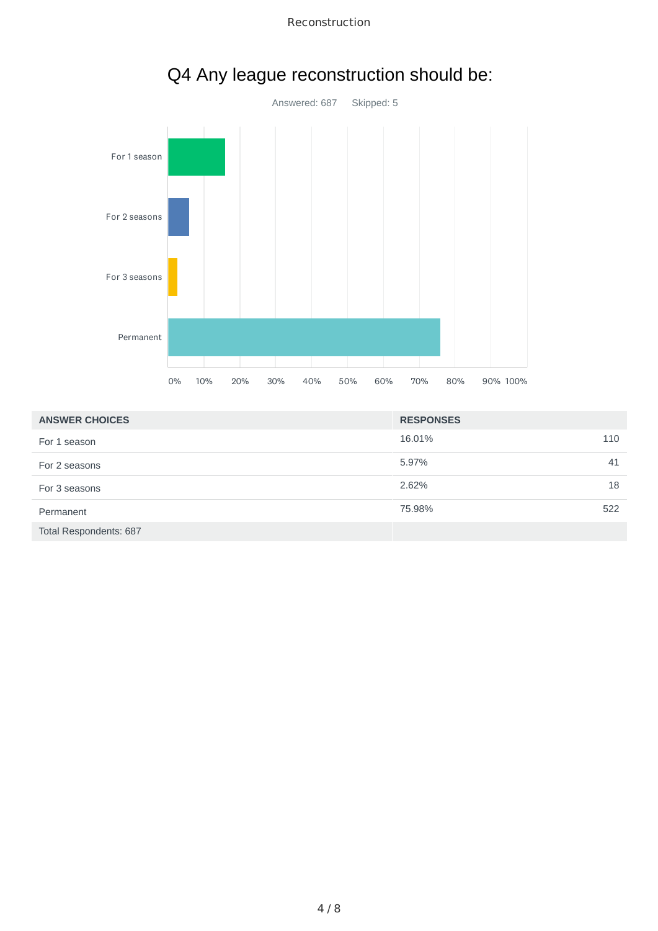



# Q4 Any league reconstruction should be:

| <b>ANSWER CHOICES</b>  | <b>RESPONSES</b> |     |
|------------------------|------------------|-----|
| For 1 season           | 16.01%           | 110 |
| For 2 seasons          | 5.97%            | 41  |
| For 3 seasons          | 2.62%            | 18  |
| Permanent              | 75.98%           | 522 |
| Total Respondents: 687 |                  |     |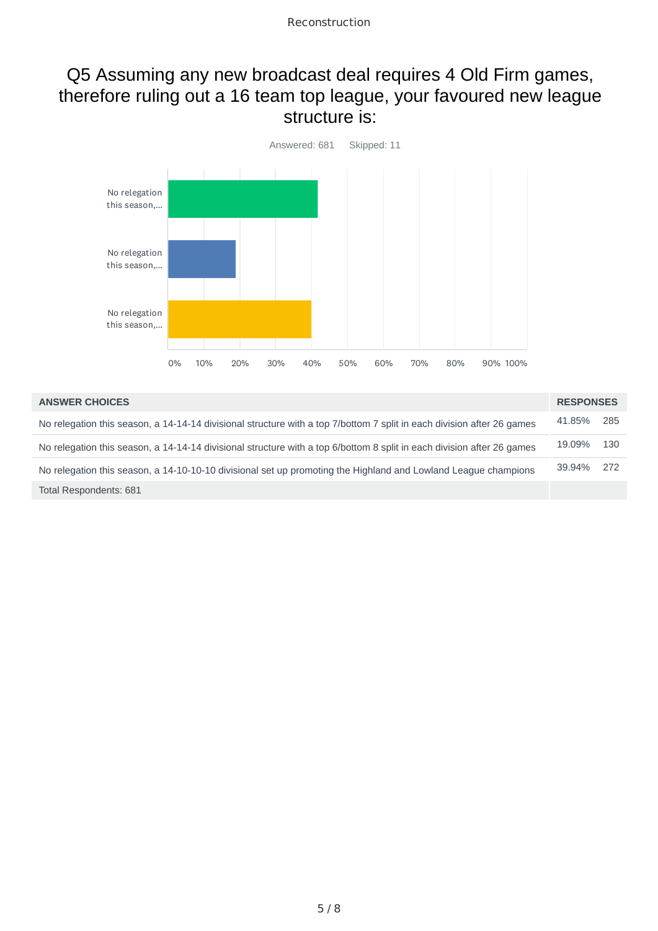#### Q5 Assuming any new broadcast deal requires 4 Old Firm games, therefore ruling out a 16 team top league, your favoured new league structure is:



| <b>ANSWER CHOICES</b>                                                                                                  | <b>RESPONSES</b> |     |
|------------------------------------------------------------------------------------------------------------------------|------------------|-----|
| No relegation this season, a 14-14-14 divisional structure with a top 7/bottom 7 split in each division after 26 games | 41.85%           | 285 |
| No relegation this season, a 14-14-14 divisional structure with a top 6/bottom 8 split in each division after 26 games | 19.09%           | 130 |
| No relegation this season, a 14-10-10-10 divisional set up promoting the Highland and Lowland League champions         | 39.94%           | 272 |
| Total Respondents: 681                                                                                                 |                  |     |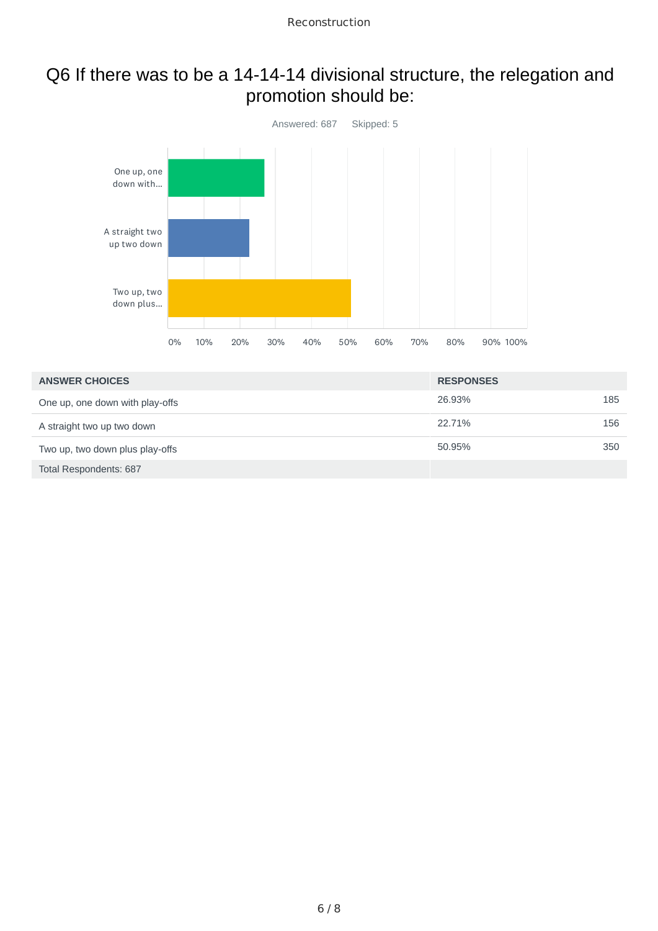### Q6 If there was to be a 14-14-14 divisional structure, the relegation and promotion should be:



| <b>ANSWER CHOICES</b>           | <b>RESPONSES</b> |     |
|---------------------------------|------------------|-----|
| One up, one down with play-offs | 26.93%           | 185 |
| A straight two up two down      | 22.71%           | 156 |
| Two up, two down plus play-offs | 50.95%           | 350 |
| Total Respondents: 687          |                  |     |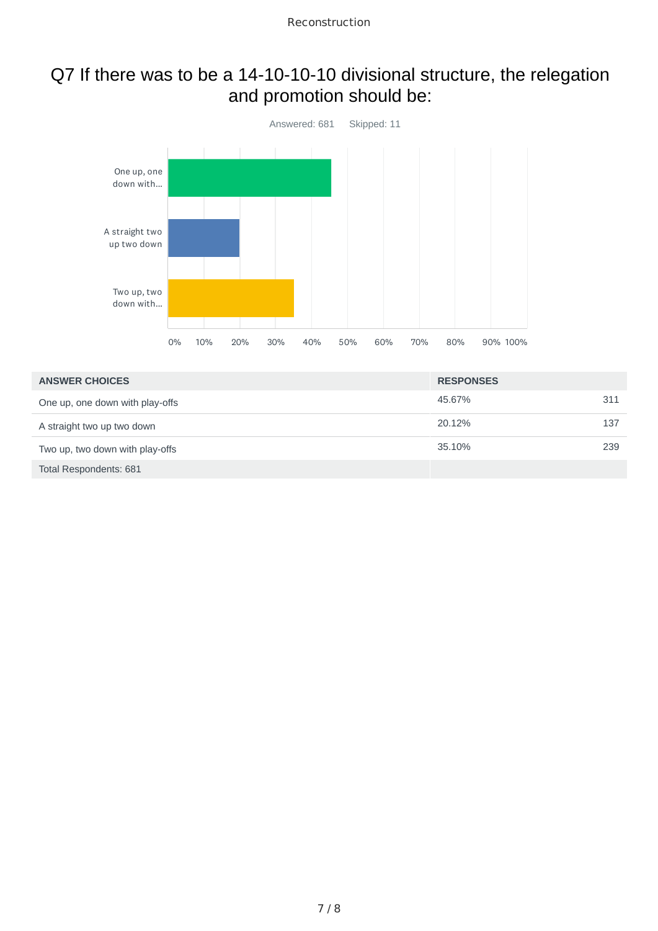### Q7 If there was to be a 14-10-10-10 divisional structure, the relegation and promotion should be:



| <b>ANSWER CHOICES</b>           | <b>RESPONSES</b> |     |
|---------------------------------|------------------|-----|
| One up, one down with play-offs | 45.67%           | 311 |
| A straight two up two down      | 20.12%           | 137 |
| Two up, two down with play-offs | 35.10%           | 239 |
| Total Respondents: 681          |                  |     |